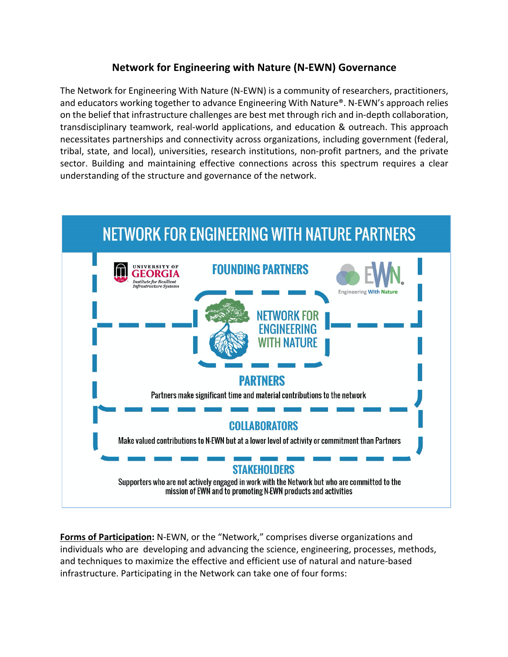## **Network for Engineering with Nature (N-EWN) Governance**

The Network for Engineering With Nature (N-EWN) is a community of researchers, practitioners, and educators working together to advance Engineering With Nature®. N-EWN's approach relies on the belief that infrastructure challenges are best met through rich and in-depth collaboration, transdisciplinary teamwork, real-world applications, and education & outreach. This approach necessitates partnerships and connectivity across organizations, including government (federal, tribal, state, and local), universities, research institutions, non-profit partners, and the private sector. Building and maintaining effective connections across this spectrum requires a clear understanding of the structure and governance of the network.



**Forms of Participation:** N-EWN, or the "Network," comprises diverse organizations and individuals who are developing and advancing the science, engineering, processes, methods, and techniques to maximize the effective and efficient use of natural and nature-based infrastructure. Participating in the Network can take one of four forms: